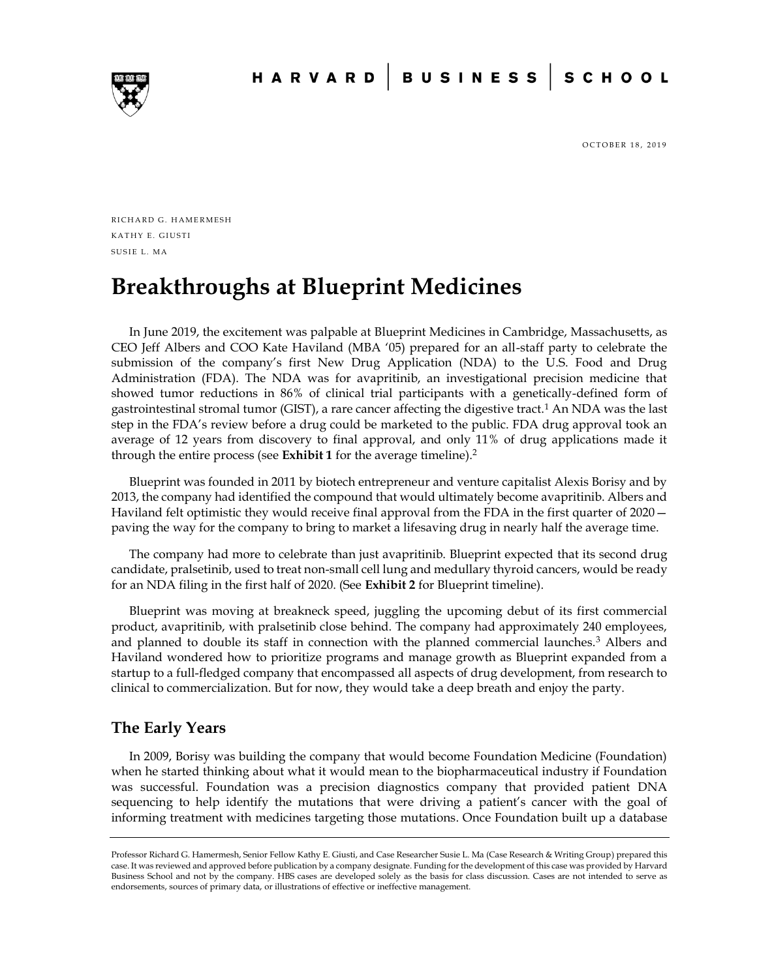

OCTOBER 18, 2019

RICHARD G. HAMERMESH KATHY E. GIUSTI SUSIE L. MA

# **Breakthroughs at Blueprint Medicines**

In June 2019, the excitement was palpable at Blueprint Medicines in Cambridge, Massachusetts, as CEO Jeff Albers and COO Kate Haviland (MBA '05) prepared for an all-staff party to celebrate the submission of the company's first New Drug Application (NDA) to the U.S. Food and Drug Administration (FDA). The NDA was for avapritinib, an investigational precision medicine that showed tumor reductions in 86% of clinical trial participants with a genetically-defined form of gastrointestinal stromal tumor (GIST), a rare cancer affecting the digestive tract.<sup>1</sup> An NDA was the last step in the FDA's review before a drug could be marketed to the public. FDA drug approval took an average of 12 years from discovery to final approval, and only 11% of drug applications made it through the entire process (see **Exhibit 1** for the average timeline).<sup>2</sup>

Blueprint was founded in 2011 by biotech entrepreneur and venture capitalist Alexis Borisy and by 2013, the company had identified the compound that would ultimately become avapritinib. Albers and Haviland felt optimistic they would receive final approval from the FDA in the first quarter of 2020 paving the way for the company to bring to market a lifesaving drug in nearly half the average time.

The company had more to celebrate than just avapritinib. Blueprint expected that its second drug candidate, pralsetinib, used to treat non-small cell lung and medullary thyroid cancers, would be ready for an NDA filing in the first half of 2020. (See **Exhibit 2** for Blueprint timeline).

Blueprint was moving at breakneck speed, juggling the upcoming debut of its first commercial product, avapritinib, with pralsetinib close behind. The company had approximately 240 employees, and planned to double its staff in connection with the planned commercial launches.<sup>3</sup> Albers and Haviland wondered how to prioritize programs and manage growth as Blueprint expanded from a startup to a full-fledged company that encompassed all aspects of drug development, from research to clinical to commercialization. But for now, they would take a deep breath and enjoy the party.

# **The Early Years**

In 2009, Borisy was building the company that would become Foundation Medicine (Foundation) when he started thinking about what it would mean to the biopharmaceutical industry if Foundation was successful. Foundation was a precision diagnostics company that provided patient DNA sequencing to help identify the mutations that were driving a patient's cancer with the goal of informing treatment with medicines targeting those mutations. Once Foundation built up a database

Professor Richard G. Hamermesh, Senior Fellow Kathy E. Giusti, and Case Researcher Susie L. Ma (Case Research & Writing Group) prepared this case. It was reviewed and approved before publication by a company designate. Funding for the development of this case was provided by Harvard Business School and not by the company. HBS cases are developed solely as the basis for class discussion. Cases are not intended to serve as endorsements, sources of primary data, or illustrations of effective or ineffective management.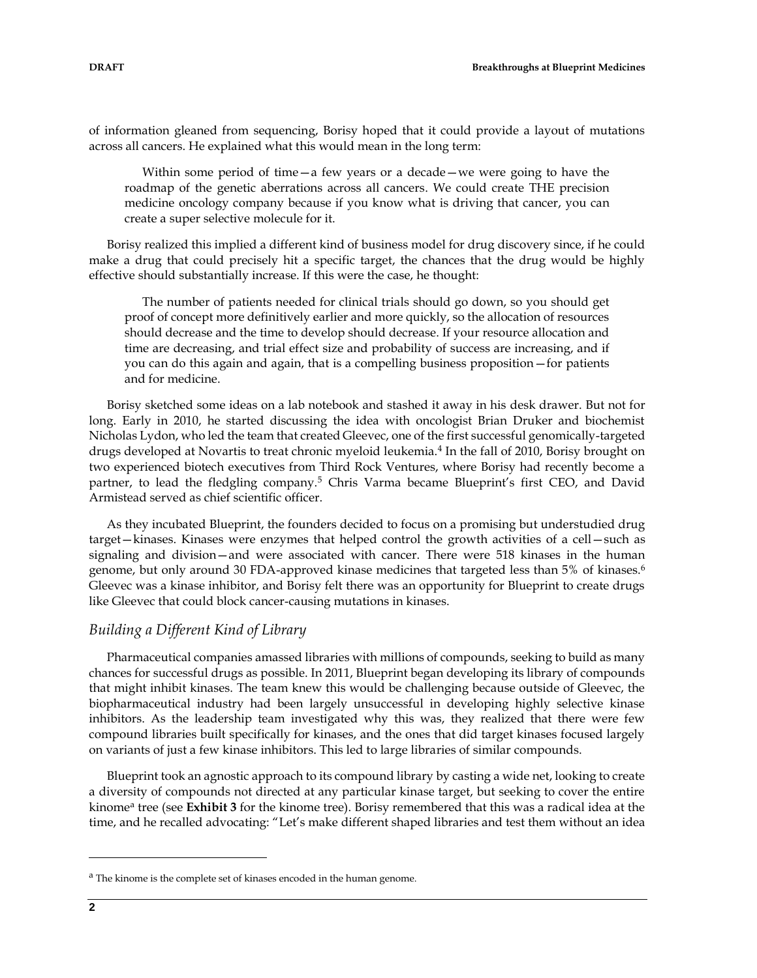of information gleaned from sequencing, Borisy hoped that it could provide a layout of mutations across all cancers. He explained what this would mean in the long term:

Within some period of time—a few years or a decade—we were going to have the roadmap of the genetic aberrations across all cancers. We could create THE precision medicine oncology company because if you know what is driving that cancer, you can create a super selective molecule for it.

Borisy realized this implied a different kind of business model for drug discovery since, if he could make a drug that could precisely hit a specific target, the chances that the drug would be highly effective should substantially increase. If this were the case, he thought:

The number of patients needed for clinical trials should go down, so you should get proof of concept more definitively earlier and more quickly, so the allocation of resources should decrease and the time to develop should decrease. If your resource allocation and time are decreasing, and trial effect size and probability of success are increasing, and if you can do this again and again, that is a compelling business proposition—for patients and for medicine.

Borisy sketched some ideas on a lab notebook and stashed it away in his desk drawer. But not for long. Early in 2010, he started discussing the idea with oncologist Brian Druker and biochemist Nicholas Lydon, who led the team that created Gleevec, one of the first successful genomically-targeted drugs developed at Novartis to treat chronic myeloid leukemia.<sup>4</sup> In the fall of 2010, Borisy brought on two experienced biotech executives from Third Rock Ventures, where Borisy had recently become a partner, to lead the fledgling company.<sup>5</sup> Chris Varma became Blueprint's first CEO, and David Armistead served as chief scientific officer.

As they incubated Blueprint, the founders decided to focus on a promising but understudied drug target—kinases. Kinases were enzymes that helped control the growth activities of a cell—such as signaling and division—and were associated with cancer. There were 518 kinases in the human genome, but only around 30 FDA-approved kinase medicines that targeted less than 5% of kinases.<sup>6</sup> Gleevec was a kinase inhibitor, and Borisy felt there was an opportunity for Blueprint to create drugs like Gleevec that could block cancer-causing mutations in kinases.

### *Building a Different Kind of Library*

Pharmaceutical companies amassed libraries with millions of compounds, seeking to build as many chances for successful drugs as possible. In 2011, Blueprint began developing its library of compounds that might inhibit kinases. The team knew this would be challenging because outside of Gleevec, the biopharmaceutical industry had been largely unsuccessful in developing highly selective kinase inhibitors. As the leadership team investigated why this was, they realized that there were few compound libraries built specifically for kinases, and the ones that did target kinases focused largely on variants of just a few kinase inhibitors. This led to large libraries of similar compounds.

Blueprint took an agnostic approach to its compound library by casting a wide net, looking to create a diversity of compounds not directed at any particular kinase target, but seeking to cover the entire kinome<sup>a</sup> tree (see Exhibit 3 for the kinome tree). Borisy remembered that this was a radical idea at the time, and he recalled advocating: "Let's make different shaped libraries and test them without an idea

 $\overline{a}$ 

<sup>&</sup>lt;sup>a</sup> The kinome is the complete set of kinases encoded in the human genome.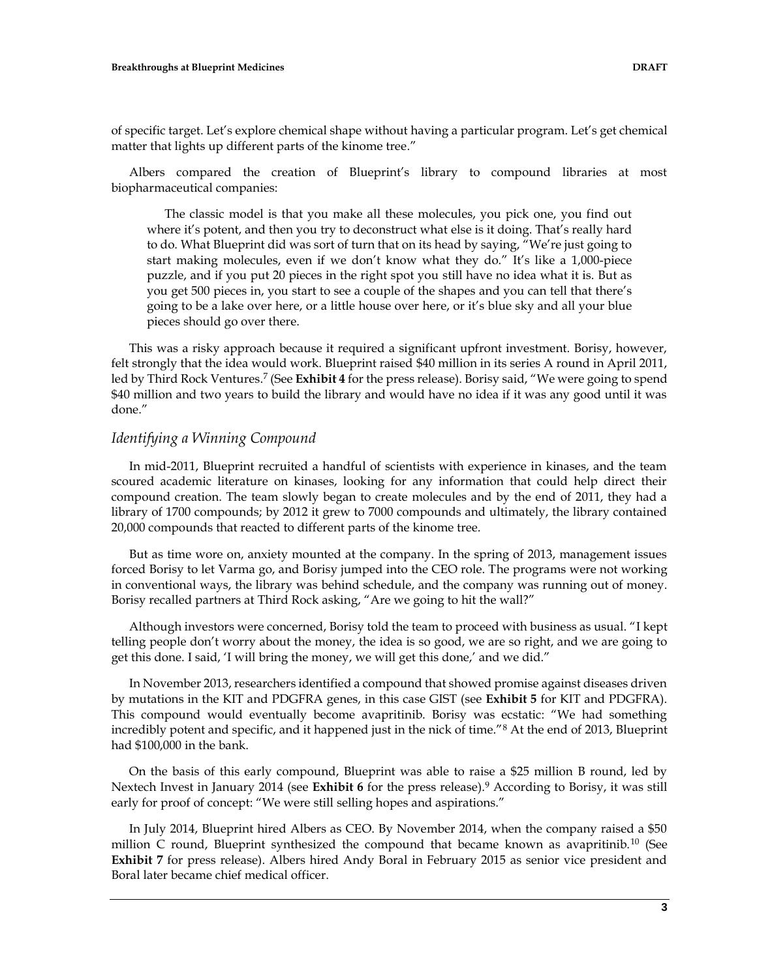of specific target. Let's explore chemical shape without having a particular program. Let's get chemical matter that lights up different parts of the kinome tree."

Albers compared the creation of Blueprint's library to compound libraries at most biopharmaceutical companies:

The classic model is that you make all these molecules, you pick one, you find out where it's potent, and then you try to deconstruct what else is it doing. That's really hard to do. What Blueprint did was sort of turn that on its head by saying, "We're just going to start making molecules, even if we don't know what they do." It's like a 1,000-piece puzzle, and if you put 20 pieces in the right spot you still have no idea what it is. But as you get 500 pieces in, you start to see a couple of the shapes and you can tell that there's going to be a lake over here, or a little house over here, or it's blue sky and all your blue pieces should go over there.

This was a risky approach because it required a significant upfront investment. Borisy, however, felt strongly that the idea would work. Blueprint raised \$40 million in its series A round in April 2011, led by Third Rock Ventures.<sup>7</sup> (See **Exhibit 4** for the press release). Borisy said, "We were going to spend \$40 million and two years to build the library and would have no idea if it was any good until it was done."

#### *Identifying a Winning Compound*

In mid-2011, Blueprint recruited a handful of scientists with experience in kinases, and the team scoured academic literature on kinases, looking for any information that could help direct their compound creation. The team slowly began to create molecules and by the end of 2011, they had a library of 1700 compounds; by 2012 it grew to 7000 compounds and ultimately, the library contained 20,000 compounds that reacted to different parts of the kinome tree.

But as time wore on, anxiety mounted at the company. In the spring of 2013, management issues forced Borisy to let Varma go, and Borisy jumped into the CEO role. The programs were not working in conventional ways, the library was behind schedule, and the company was running out of money. Borisy recalled partners at Third Rock asking, "Are we going to hit the wall?"

Although investors were concerned, Borisy told the team to proceed with business as usual. "I kept telling people don't worry about the money, the idea is so good, we are so right, and we are going to get this done. I said, 'I will bring the money, we will get this done,' and we did."

In November 2013, researchers identified a compound that showed promise against diseases driven by mutations in the KIT and PDGFRA genes, in this case GIST (see **Exhibit 5** for KIT and PDGFRA). This compound would eventually become avapritinib. Borisy was ecstatic: "We had something incredibly potent and specific, and it happened just in the nick of time."<sup>8</sup> At the end of 2013, Blueprint had \$100,000 in the bank.

On the basis of this early compound, Blueprint was able to raise a \$25 million B round, led by Nextech Invest in January 2014 (see **Exhibit 6** for the press release).<sup>9</sup> According to Borisy, it was still early for proof of concept: "We were still selling hopes and aspirations."

In July 2014, Blueprint hired Albers as CEO. By November 2014, when the company raised a \$50 million C round, Blueprint synthesized the compound that became known as avapritinib.<sup>10</sup> (See **Exhibit 7** for press release). Albers hired Andy Boral in February 2015 as senior vice president and Boral later became chief medical officer.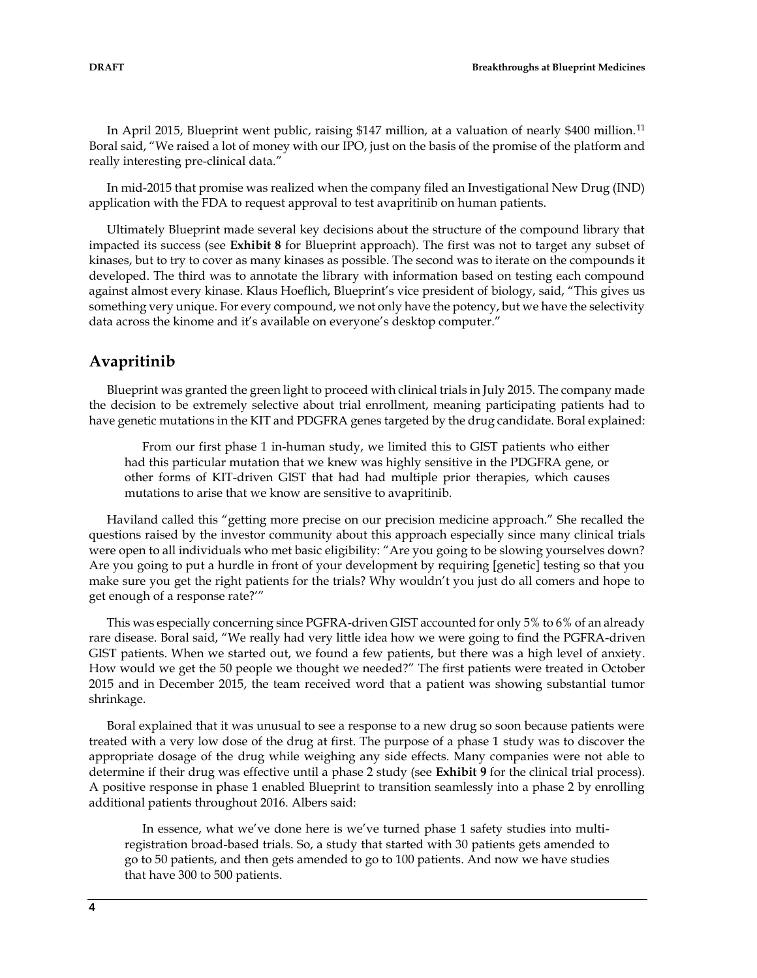In April 2015, Blueprint went public, raising \$147 million, at a valuation of nearly \$400 million.<sup>11</sup> Boral said, "We raised a lot of money with our IPO, just on the basis of the promise of the platform and really interesting pre-clinical data."

In mid-2015 that promise was realized when the company filed an Investigational New Drug (IND) application with the FDA to request approval to test avapritinib on human patients.

Ultimately Blueprint made several key decisions about the structure of the compound library that impacted its success (see **Exhibit 8** for Blueprint approach). The first was not to target any subset of kinases, but to try to cover as many kinases as possible. The second was to iterate on the compounds it developed. The third was to annotate the library with information based on testing each compound against almost every kinase. Klaus Hoeflich, Blueprint's vice president of biology, said, "This gives us something very unique. For every compound, we not only have the potency, but we have the selectivity data across the kinome and it's available on everyone's desktop computer."

# **Avapritinib**

Blueprint was granted the green light to proceed with clinical trials in July 2015. The company made the decision to be extremely selective about trial enrollment, meaning participating patients had to have genetic mutations in the KIT and PDGFRA genes targeted by the drug candidate. Boral explained:

From our first phase 1 in-human study, we limited this to GIST patients who either had this particular mutation that we knew was highly sensitive in the PDGFRA gene, or other forms of KIT-driven GIST that had had multiple prior therapies, which causes mutations to arise that we know are sensitive to avapritinib.

Haviland called this "getting more precise on our precision medicine approach." She recalled the questions raised by the investor community about this approach especially since many clinical trials were open to all individuals who met basic eligibility: "Are you going to be slowing yourselves down? Are you going to put a hurdle in front of your development by requiring [genetic] testing so that you make sure you get the right patients for the trials? Why wouldn't you just do all comers and hope to get enough of a response rate?'"

This was especially concerning since PGFRA-driven GIST accounted for only 5% to 6% of an already rare disease. Boral said, "We really had very little idea how we were going to find the PGFRA-driven GIST patients. When we started out, we found a few patients, but there was a high level of anxiety. How would we get the 50 people we thought we needed?" The first patients were treated in October 2015 and in December 2015, the team received word that a patient was showing substantial tumor shrinkage.

Boral explained that it was unusual to see a response to a new drug so soon because patients were treated with a very low dose of the drug at first. The purpose of a phase 1 study was to discover the appropriate dosage of the drug while weighing any side effects. Many companies were not able to determine if their drug was effective until a phase 2 study (see **Exhibit 9** for the clinical trial process). A positive response in phase 1 enabled Blueprint to transition seamlessly into a phase 2 by enrolling additional patients throughout 2016. Albers said:

In essence, what we've done here is we've turned phase 1 safety studies into multiregistration broad-based trials. So, a study that started with 30 patients gets amended to go to 50 patients, and then gets amended to go to 100 patients. And now we have studies that have 300 to 500 patients.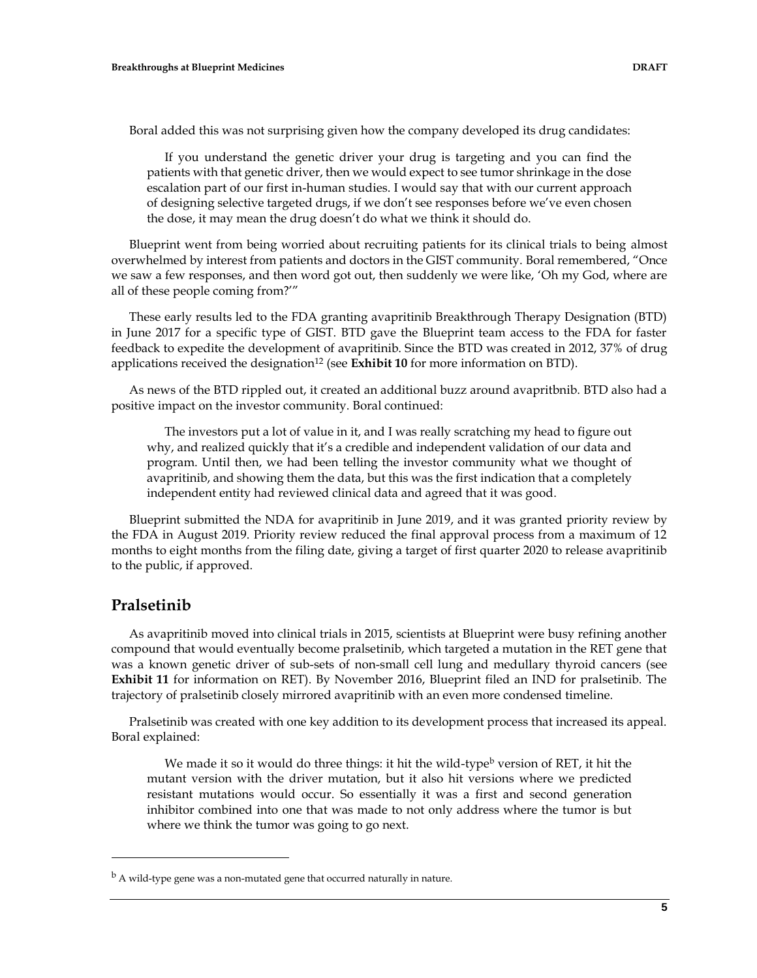Boral added this was not surprising given how the company developed its drug candidates:

If you understand the genetic driver your drug is targeting and you can find the patients with that genetic driver, then we would expect to see tumor shrinkage in the dose escalation part of our first in-human studies. I would say that with our current approach of designing selective targeted drugs, if we don't see responses before we've even chosen the dose, it may mean the drug doesn't do what we think it should do.

Blueprint went from being worried about recruiting patients for its clinical trials to being almost overwhelmed by interest from patients and doctors in the GIST community. Boral remembered, "Once we saw a few responses, and then word got out, then suddenly we were like, 'Oh my God, where are all of these people coming from?'"

These early results led to the FDA granting avapritinib Breakthrough Therapy Designation (BTD) in June 2017 for a specific type of GIST. BTD gave the Blueprint team access to the FDA for faster feedback to expedite the development of avapritinib. Since the BTD was created in 2012, 37% of drug applications received the designation<sup>12</sup> (see **Exhibit 10** for more information on BTD).

As news of the BTD rippled out, it created an additional buzz around avapritbnib. BTD also had a positive impact on the investor community. Boral continued:

The investors put a lot of value in it, and I was really scratching my head to figure out why, and realized quickly that it's a credible and independent validation of our data and program. Until then, we had been telling the investor community what we thought of avapritinib, and showing them the data, but this was the first indication that a completely independent entity had reviewed clinical data and agreed that it was good.

Blueprint submitted the NDA for avapritinib in June 2019, and it was granted priority review by the FDA in August 2019. Priority review reduced the final approval process from a maximum of 12 months to eight months from the filing date, giving a target of first quarter 2020 to release avapritinib to the public, if approved.

### **Pralsetinib**

 $\overline{a}$ 

As avapritinib moved into clinical trials in 2015, scientists at Blueprint were busy refining another compound that would eventually become pralsetinib, which targeted a mutation in the RET gene that was a known genetic driver of sub-sets of non-small cell lung and medullary thyroid cancers (see **Exhibit 11** for information on RET). By November 2016, Blueprint filed an IND for pralsetinib. The trajectory of pralsetinib closely mirrored avapritinib with an even more condensed timeline.

Pralsetinib was created with one key addition to its development process that increased its appeal. Boral explained:

We made it so it would do three things: it hit the wild-type<sup>b</sup> version of RET, it hit the mutant version with the driver mutation, but it also hit versions where we predicted resistant mutations would occur. So essentially it was a first and second generation inhibitor combined into one that was made to not only address where the tumor is but where we think the tumor was going to go next.

 $<sup>b</sup>$  A wild-type gene was a non-mutated gene that occurred naturally in nature.</sup>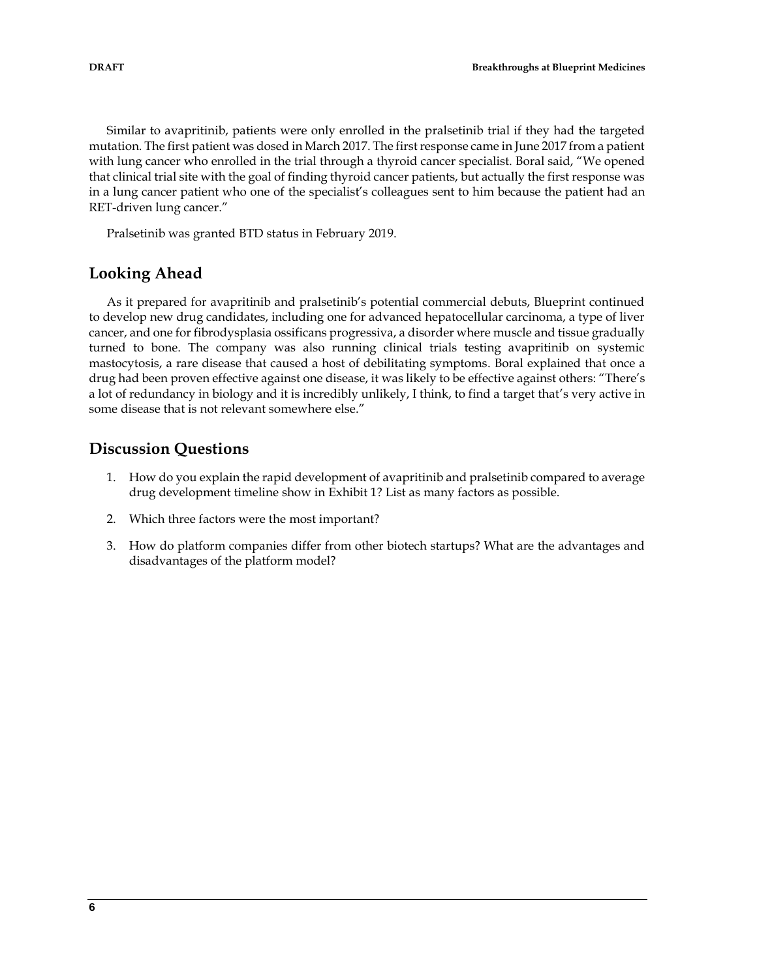Similar to avapritinib, patients were only enrolled in the pralsetinib trial if they had the targeted mutation. The first patient was dosed in March 2017. The first response came in June 2017 from a patient with lung cancer who enrolled in the trial through a thyroid cancer specialist. Boral said, "We opened that clinical trial site with the goal of finding thyroid cancer patients, but actually the first response was in a lung cancer patient who one of the specialist's colleagues sent to him because the patient had an RET-driven lung cancer."

Pralsetinib was granted BTD status in February 2019.

### **Looking Ahead**

As it prepared for avapritinib and pralsetinib's potential commercial debuts, Blueprint continued to develop new drug candidates, including one for advanced hepatocellular carcinoma, a type of liver cancer, and one for fibrodysplasia ossificans progressiva, a disorder where muscle and tissue gradually turned to bone. The company was also running clinical trials testing avapritinib on systemic mastocytosis, a rare disease that caused a host of debilitating symptoms. Boral explained that once a drug had been proven effective against one disease, it was likely to be effective against others: "There's a lot of redundancy in biology and it is incredibly unlikely, I think, to find a target that's very active in some disease that is not relevant somewhere else."

# **Discussion Questions**

- 1. How do you explain the rapid development of avapritinib and pralsetinib compared to average drug development timeline show in Exhibit 1? List as many factors as possible.
- 2. Which three factors were the most important?
- 3. How do platform companies differ from other biotech startups? What are the advantages and disadvantages of the platform model?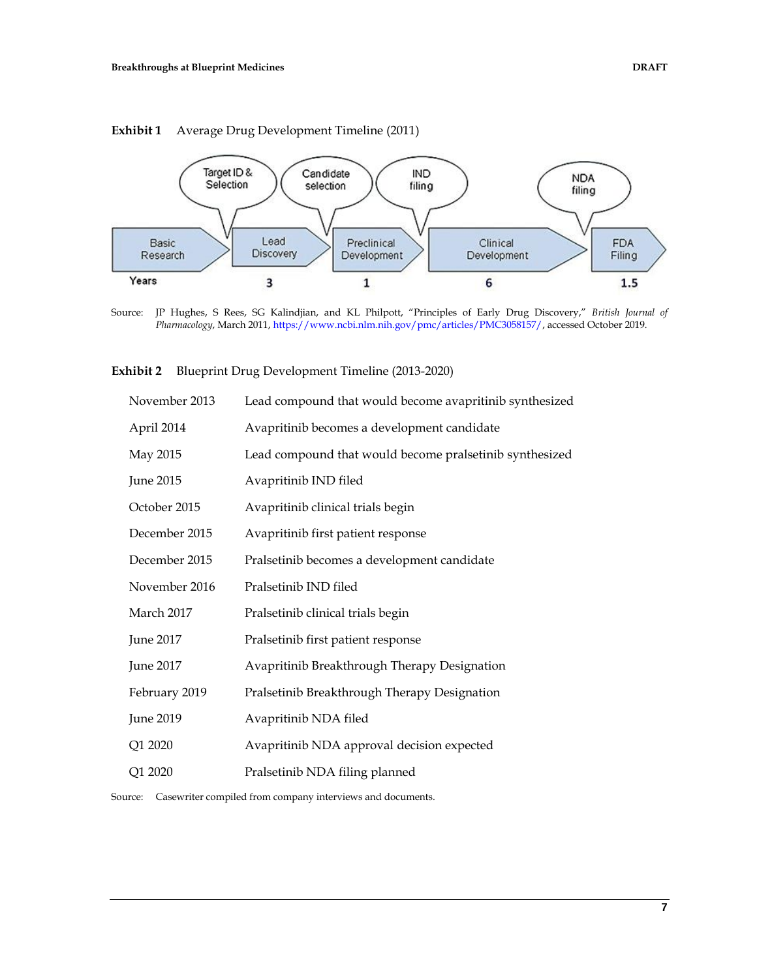



Source: JP Hughes, S Rees, SG Kalindjian, and KL Philpott, "Principles of Early Drug Discovery," *British Journal of Pharmacology*, March 2011, [https://www.ncbi.nlm.nih.gov/pmc/articles/PMC3058157/,](https://www.ncbi.nlm.nih.gov/pmc/articles/PMC3058157/) accessed October 2019.

#### **Exhibit 2** Blueprint Drug Development Timeline (2013-2020)

| November 2013    | Lead compound that would become avapritinib synthesized |
|------------------|---------------------------------------------------------|
| April 2014       | Avapritinib becomes a development candidate             |
| May 2015         | Lead compound that would become pralsetinib synthesized |
| June 2015        | Avapritinib IND filed                                   |
| October 2015     | Avapritinib clinical trials begin                       |
| December 2015    | Avapritinib first patient response                      |
| December 2015    | Pralsetinib becomes a development candidate             |
| November 2016    | Pralsetinib IND filed                                   |
| March 2017       | Pralsetinib clinical trials begin                       |
| June 2017        | Pralsetinib first patient response                      |
| <b>June 2017</b> | Avapritinib Breakthrough Therapy Designation            |
| February 2019    | Pralsetinib Breakthrough Therapy Designation            |
| June 2019        | Avapritinib NDA filed                                   |
| Q1 2020          | Avapritinib NDA approval decision expected              |
| Q1 2020          | Pralsetinib NDA filing planned                          |
|                  |                                                         |

Source: Casewriter compiled from company interviews and documents.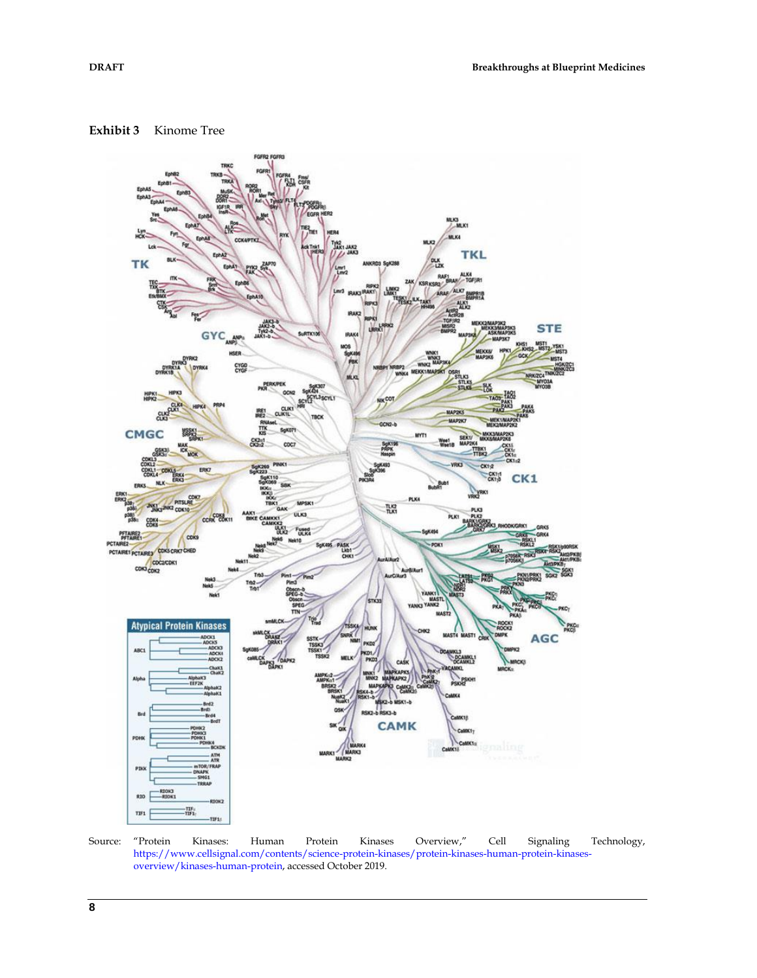



Source: "Protein Kinases: Human Protein Kinases Overview," Cell Signaling Technology, [https://www.cellsignal.com/contents/science-protein-kinases/protein-kinases-human-protein-kinases](https://www.cellsignal.com/contents/science-protein-kinases/protein-kinases-human-protein-kinases-overview/kinases-human-protein)[overview/kinases-human-protein,](https://www.cellsignal.com/contents/science-protein-kinases/protein-kinases-human-protein-kinases-overview/kinases-human-protein) accessed October 2019.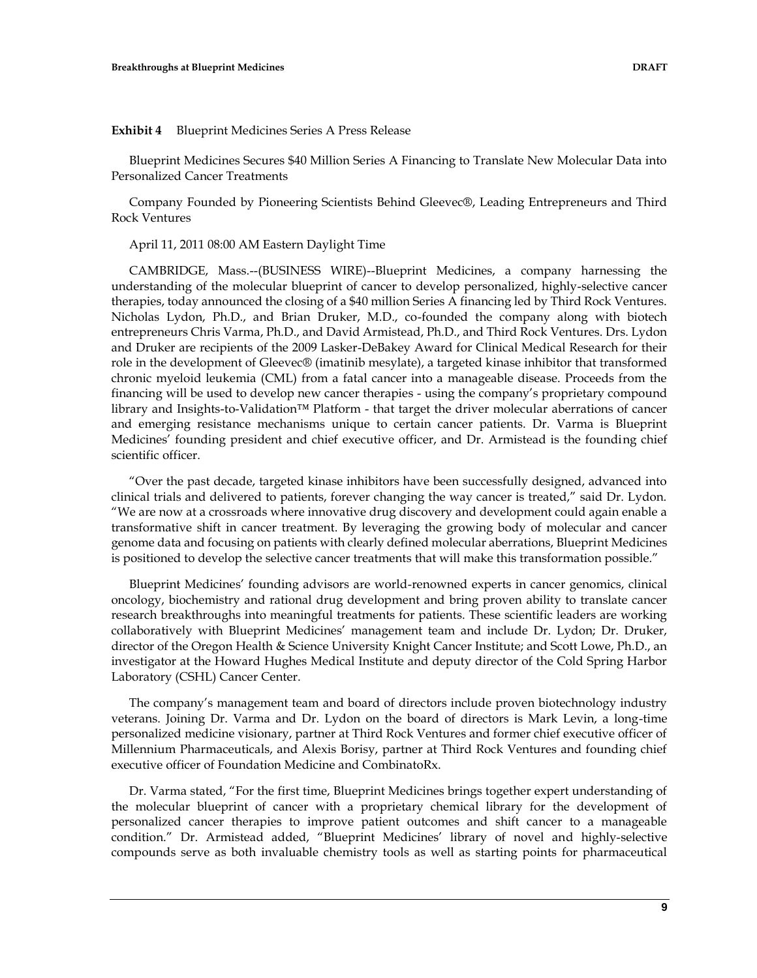#### **Exhibit 4** Blueprint Medicines Series A Press Release

Blueprint Medicines Secures \$40 Million Series A Financing to Translate New Molecular Data into Personalized Cancer Treatments

Company Founded by Pioneering Scientists Behind Gleevec®, Leading Entrepreneurs and Third Rock Ventures

April 11, 2011 08:00 AM Eastern Daylight Time

CAMBRIDGE, Mass.--(BUSINESS WIRE)--Blueprint Medicines, a company harnessing the understanding of the molecular blueprint of cancer to develop personalized, highly-selective cancer therapies, today announced the closing of a \$40 million Series A financing led by Third Rock Ventures. Nicholas Lydon, Ph.D., and Brian Druker, M.D., co-founded the company along with biotech entrepreneurs Chris Varma, Ph.D., and David Armistead, Ph.D., and Third Rock Ventures. Drs. Lydon and Druker are recipients of the 2009 Lasker-DeBakey Award for Clinical Medical Research for their role in the development of Gleevec® (imatinib mesylate), a targeted kinase inhibitor that transformed chronic myeloid leukemia (CML) from a fatal cancer into a manageable disease. Proceeds from the financing will be used to develop new cancer therapies - using the company's proprietary compound library and Insights-to-Validation™ Platform - that target the driver molecular aberrations of cancer and emerging resistance mechanisms unique to certain cancer patients. Dr. Varma is Blueprint Medicines' founding president and chief executive officer, and Dr. Armistead is the founding chief scientific officer.

"Over the past decade, targeted kinase inhibitors have been successfully designed, advanced into clinical trials and delivered to patients, forever changing the way cancer is treated," said Dr. Lydon. "We are now at a crossroads where innovative drug discovery and development could again enable a transformative shift in cancer treatment. By leveraging the growing body of molecular and cancer genome data and focusing on patients with clearly defined molecular aberrations, Blueprint Medicines is positioned to develop the selective cancer treatments that will make this transformation possible."

Blueprint Medicines' founding advisors are world-renowned experts in cancer genomics, clinical oncology, biochemistry and rational drug development and bring proven ability to translate cancer research breakthroughs into meaningful treatments for patients. These scientific leaders are working collaboratively with Blueprint Medicines' management team and include Dr. Lydon; Dr. Druker, director of the Oregon Health & Science University Knight Cancer Institute; and Scott Lowe, Ph.D., an investigator at the Howard Hughes Medical Institute and deputy director of the Cold Spring Harbor Laboratory (CSHL) Cancer Center.

The company's management team and board of directors include proven biotechnology industry veterans. Joining Dr. Varma and Dr. Lydon on the board of directors is Mark Levin, a long-time personalized medicine visionary, partner at Third Rock Ventures and former chief executive officer of Millennium Pharmaceuticals, and Alexis Borisy, partner at Third Rock Ventures and founding chief executive officer of Foundation Medicine and CombinatoRx.

Dr. Varma stated, "For the first time, Blueprint Medicines brings together expert understanding of the molecular blueprint of cancer with a proprietary chemical library for the development of personalized cancer therapies to improve patient outcomes and shift cancer to a manageable condition." Dr. Armistead added, "Blueprint Medicines' library of novel and highly-selective compounds serve as both invaluable chemistry tools as well as starting points for pharmaceutical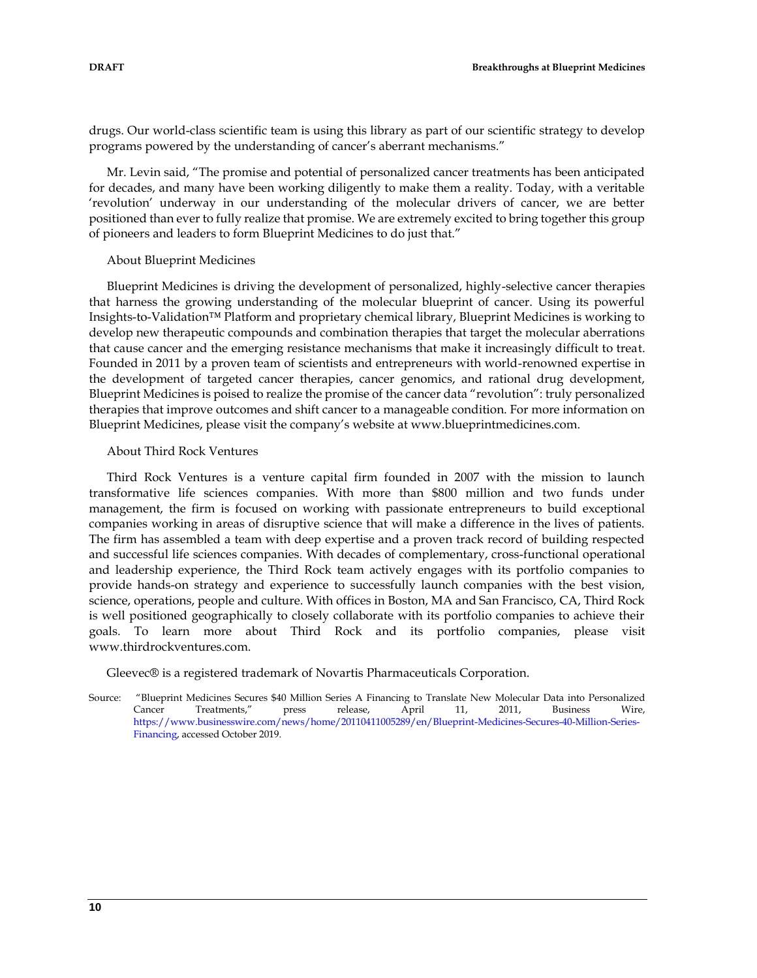drugs. Our world-class scientific team is using this library as part of our scientific strategy to develop programs powered by the understanding of cancer's aberrant mechanisms."

Mr. Levin said, "The promise and potential of personalized cancer treatments has been anticipated for decades, and many have been working diligently to make them a reality. Today, with a veritable 'revolution' underway in our understanding of the molecular drivers of cancer, we are better positioned than ever to fully realize that promise. We are extremely excited to bring together this group of pioneers and leaders to form Blueprint Medicines to do just that."

#### About Blueprint Medicines

Blueprint Medicines is driving the development of personalized, highly-selective cancer therapies that harness the growing understanding of the molecular blueprint of cancer. Using its powerful Insights-to-Validation™ Platform and proprietary chemical library, Blueprint Medicines is working to develop new therapeutic compounds and combination therapies that target the molecular aberrations that cause cancer and the emerging resistance mechanisms that make it increasingly difficult to treat. Founded in 2011 by a proven team of scientists and entrepreneurs with world-renowned expertise in the development of targeted cancer therapies, cancer genomics, and rational drug development, Blueprint Medicines is poised to realize the promise of the cancer data "revolution": truly personalized therapies that improve outcomes and shift cancer to a manageable condition. For more information on Blueprint Medicines, please visit the company's website at www.blueprintmedicines.com.

#### About Third Rock Ventures

Third Rock Ventures is a venture capital firm founded in 2007 with the mission to launch transformative life sciences companies. With more than \$800 million and two funds under management, the firm is focused on working with passionate entrepreneurs to build exceptional companies working in areas of disruptive science that will make a difference in the lives of patients. The firm has assembled a team with deep expertise and a proven track record of building respected and successful life sciences companies. With decades of complementary, cross-functional operational and leadership experience, the Third Rock team actively engages with its portfolio companies to provide hands-on strategy and experience to successfully launch companies with the best vision, science, operations, people and culture. With offices in Boston, MA and San Francisco, CA, Third Rock is well positioned geographically to closely collaborate with its portfolio companies to achieve their goals. To learn more about Third Rock and its portfolio companies, please visit www.thirdrockventures.com.

Gleevec® is a registered trademark of Novartis Pharmaceuticals Corporation.

Source: "Blueprint Medicines Secures \$40 Million Series A Financing to Translate New Molecular Data into Personalized Cancer Treatments," press release, April 11, 2011, Business Wire, [https://www.businesswire.com/news/home/20110411005289/en/Blueprint-Medicines-Secures-40-Million-Series-](https://www.businesswire.com/news/home/20110411005289/en/Blueprint-Medicines-Secures-40-Million-Series-Financing)[Financing,](https://www.businesswire.com/news/home/20110411005289/en/Blueprint-Medicines-Secures-40-Million-Series-Financing) accessed October 2019.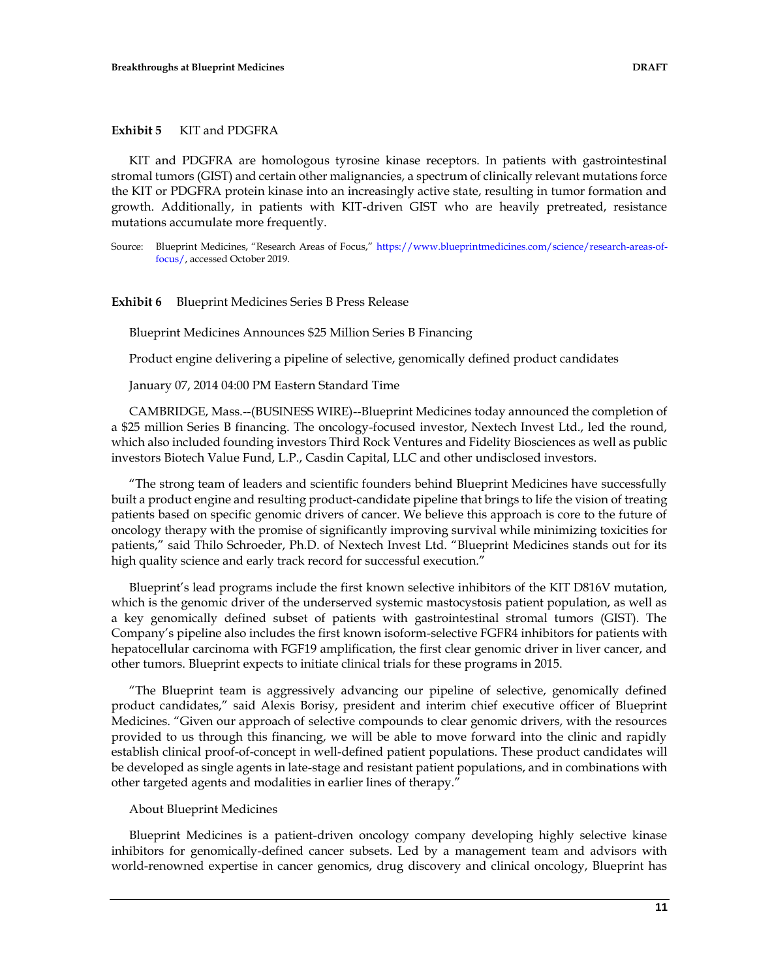#### **Exhibit 5** KIT and PDGFRA

KIT and PDGFRA are homologous tyrosine kinase receptors. In patients with gastrointestinal stromal tumors (GIST) and certain other malignancies, a spectrum of clinically relevant mutations force the KIT or PDGFRA protein kinase into an increasingly active state, resulting in tumor formation and growth. Additionally, in patients with KIT-driven GIST who are heavily pretreated, resistance mutations accumulate more frequently.

Source: Blueprint Medicines, "Research Areas of Focus," [https://www.blueprintmedicines.com/science/research-areas-of](https://www.blueprintmedicines.com/science/research-areas-of-focus/)[focus/,](https://www.blueprintmedicines.com/science/research-areas-of-focus/) accessed October 2019.

**Exhibit 6** Blueprint Medicines Series B Press Release

Blueprint Medicines Announces \$25 Million Series B Financing

Product engine delivering a pipeline of selective, genomically defined product candidates

January 07, 2014 04:00 PM Eastern Standard Time

CAMBRIDGE, Mass.--(BUSINESS WIRE)--Blueprint Medicines today announced the completion of a \$25 million Series B financing. The oncology-focused investor, Nextech Invest Ltd., led the round, which also included founding investors Third Rock Ventures and Fidelity Biosciences as well as public investors Biotech Value Fund, L.P., Casdin Capital, LLC and other undisclosed investors.

"The strong team of leaders and scientific founders behind Blueprint Medicines have successfully built a product engine and resulting product-candidate pipeline that brings to life the vision of treating patients based on specific genomic drivers of cancer. We believe this approach is core to the future of oncology therapy with the promise of significantly improving survival while minimizing toxicities for patients," said Thilo Schroeder, Ph.D. of Nextech Invest Ltd. "Blueprint Medicines stands out for its high quality science and early track record for successful execution."

Blueprint's lead programs include the first known selective inhibitors of the KIT D816V mutation, which is the genomic driver of the underserved systemic mastocystosis patient population, as well as a key genomically defined subset of patients with gastrointestinal stromal tumors (GIST). The Company's pipeline also includes the first known isoform-selective FGFR4 inhibitors for patients with hepatocellular carcinoma with FGF19 amplification, the first clear genomic driver in liver cancer, and other tumors. Blueprint expects to initiate clinical trials for these programs in 2015.

"The Blueprint team is aggressively advancing our pipeline of selective, genomically defined product candidates," said Alexis Borisy, president and interim chief executive officer of Blueprint Medicines. "Given our approach of selective compounds to clear genomic drivers, with the resources provided to us through this financing, we will be able to move forward into the clinic and rapidly establish clinical proof-of-concept in well-defined patient populations. These product candidates will be developed as single agents in late-stage and resistant patient populations, and in combinations with other targeted agents and modalities in earlier lines of therapy."

#### About Blueprint Medicines

Blueprint Medicines is a patient-driven oncology company developing highly selective kinase inhibitors for genomically-defined cancer subsets. Led by a management team and advisors with world-renowned expertise in cancer genomics, drug discovery and clinical oncology, Blueprint has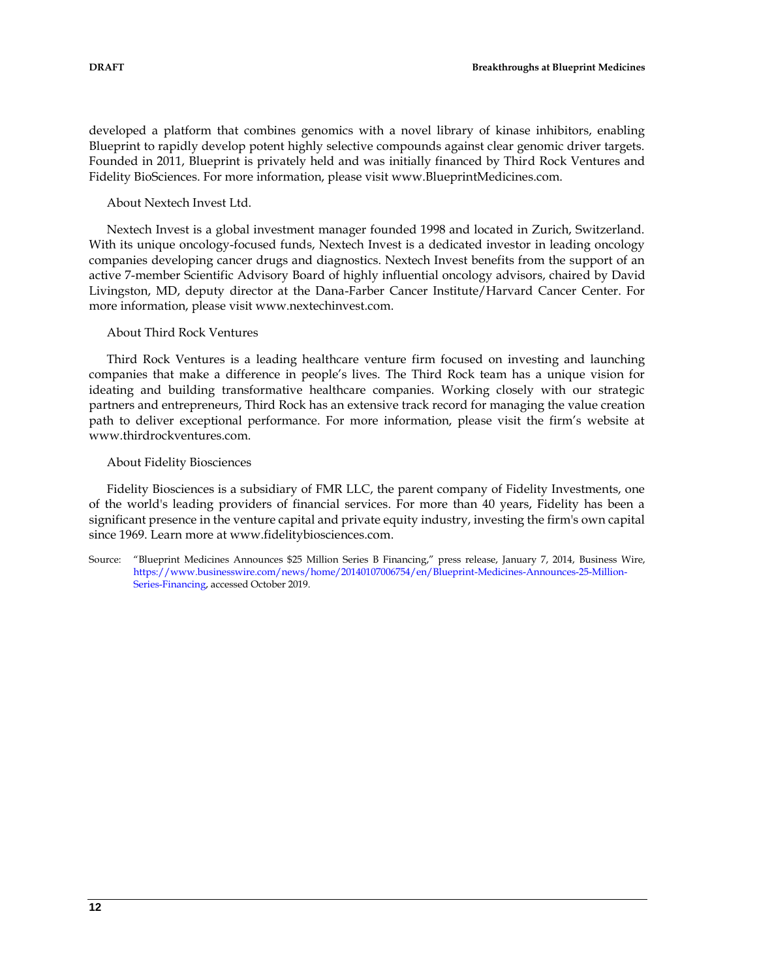developed a platform that combines genomics with a novel library of kinase inhibitors, enabling Blueprint to rapidly develop potent highly selective compounds against clear genomic driver targets. Founded in 2011, Blueprint is privately held and was initially financed by Third Rock Ventures and Fidelity BioSciences. For more information, please visit www.BlueprintMedicines.com.

About Nextech Invest Ltd.

Nextech Invest is a global investment manager founded 1998 and located in Zurich, Switzerland. With its unique oncology-focused funds, Nextech Invest is a dedicated investor in leading oncology companies developing cancer drugs and diagnostics. Nextech Invest benefits from the support of an active 7-member Scientific Advisory Board of highly influential oncology advisors, chaired by David Livingston, MD, deputy director at the Dana-Farber Cancer Institute/Harvard Cancer Center. For more information, please visit www.nextechinvest.com.

#### About Third Rock Ventures

Third Rock Ventures is a leading healthcare venture firm focused on investing and launching companies that make a difference in people's lives. The Third Rock team has a unique vision for ideating and building transformative healthcare companies. Working closely with our strategic partners and entrepreneurs, Third Rock has an extensive track record for managing the value creation path to deliver exceptional performance. For more information, please visit the firm's website at www.thirdrockventures.com.

### About Fidelity Biosciences

Fidelity Biosciences is a subsidiary of FMR LLC, the parent company of Fidelity Investments, one of the world's leading providers of financial services. For more than 40 years, Fidelity has been a significant presence in the venture capital and private equity industry, investing the firm's own capital since 1969. Learn more at www.fidelitybiosciences.com.

Source: "Blueprint Medicines Announces \$25 Million Series B Financing," press release, January 7, 2014, Business Wire, [https://www.businesswire.com/news/home/20140107006754/en/Blueprint-Medicines-Announces-25-Million-](https://www.businesswire.com/news/home/20140107006754/en/Blueprint-Medicines-Announces-25-Million-Series-Financing)[Series-Financing,](https://www.businesswire.com/news/home/20140107006754/en/Blueprint-Medicines-Announces-25-Million-Series-Financing) accessed October 2019.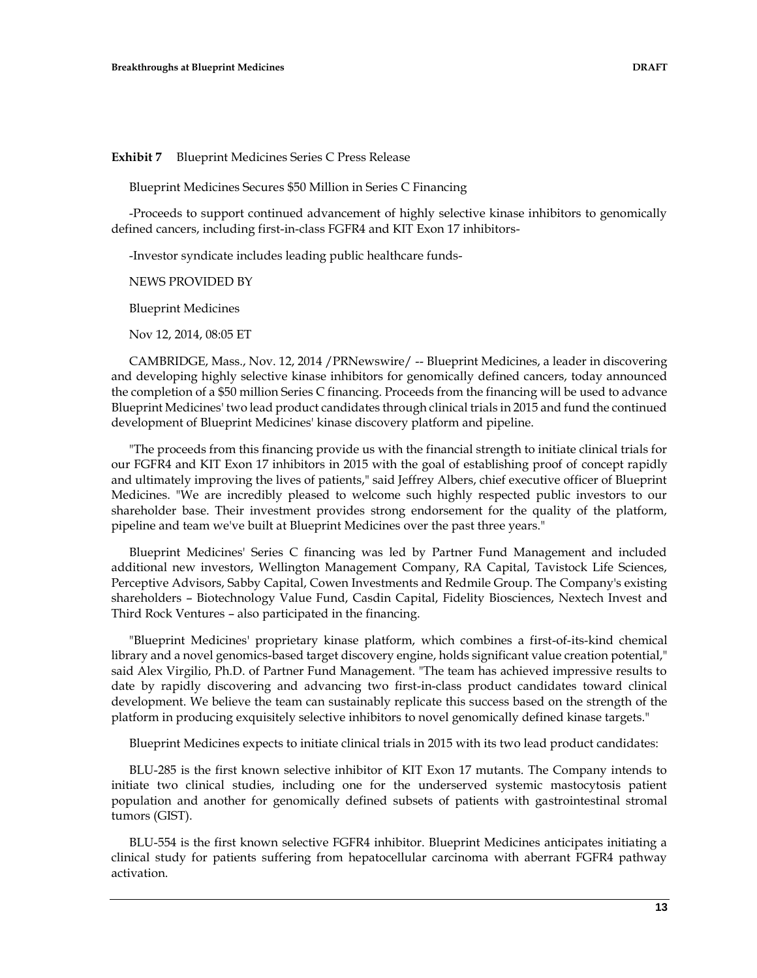**Exhibit 7** Blueprint Medicines Series C Press Release

Blueprint Medicines Secures \$50 Million in Series C Financing

-Proceeds to support continued advancement of highly selective kinase inhibitors to genomically defined cancers, including first-in-class FGFR4 and KIT Exon 17 inhibitors-

-Investor syndicate includes leading public healthcare funds-

NEWS PROVIDED BY

Blueprint Medicines

Nov 12, 2014, 08:05 ET

CAMBRIDGE, Mass., Nov. 12, 2014 /PRNewswire/ -- Blueprint Medicines, a leader in discovering and developing highly selective kinase inhibitors for genomically defined cancers, today announced the completion of a \$50 million Series C financing. Proceeds from the financing will be used to advance Blueprint Medicines' two lead product candidates through clinical trials in 2015 and fund the continued development of Blueprint Medicines' kinase discovery platform and pipeline.

"The proceeds from this financing provide us with the financial strength to initiate clinical trials for our FGFR4 and KIT Exon 17 inhibitors in 2015 with the goal of establishing proof of concept rapidly and ultimately improving the lives of patients," said Jeffrey Albers, chief executive officer of Blueprint Medicines. "We are incredibly pleased to welcome such highly respected public investors to our shareholder base. Their investment provides strong endorsement for the quality of the platform, pipeline and team we've built at Blueprint Medicines over the past three years."

Blueprint Medicines' Series C financing was led by Partner Fund Management and included additional new investors, Wellington Management Company, RA Capital, Tavistock Life Sciences, Perceptive Advisors, Sabby Capital, Cowen Investments and Redmile Group. The Company's existing shareholders – Biotechnology Value Fund, Casdin Capital, Fidelity Biosciences, Nextech Invest and Third Rock Ventures – also participated in the financing.

"Blueprint Medicines' proprietary kinase platform, which combines a first-of-its-kind chemical library and a novel genomics-based target discovery engine, holds significant value creation potential," said Alex Virgilio, Ph.D. of Partner Fund Management. "The team has achieved impressive results to date by rapidly discovering and advancing two first-in-class product candidates toward clinical development. We believe the team can sustainably replicate this success based on the strength of the platform in producing exquisitely selective inhibitors to novel genomically defined kinase targets."

Blueprint Medicines expects to initiate clinical trials in 2015 with its two lead product candidates:

BLU-285 is the first known selective inhibitor of KIT Exon 17 mutants. The Company intends to initiate two clinical studies, including one for the underserved systemic mastocytosis patient population and another for genomically defined subsets of patients with gastrointestinal stromal tumors (GIST).

BLU-554 is the first known selective FGFR4 inhibitor. Blueprint Medicines anticipates initiating a clinical study for patients suffering from hepatocellular carcinoma with aberrant FGFR4 pathway activation.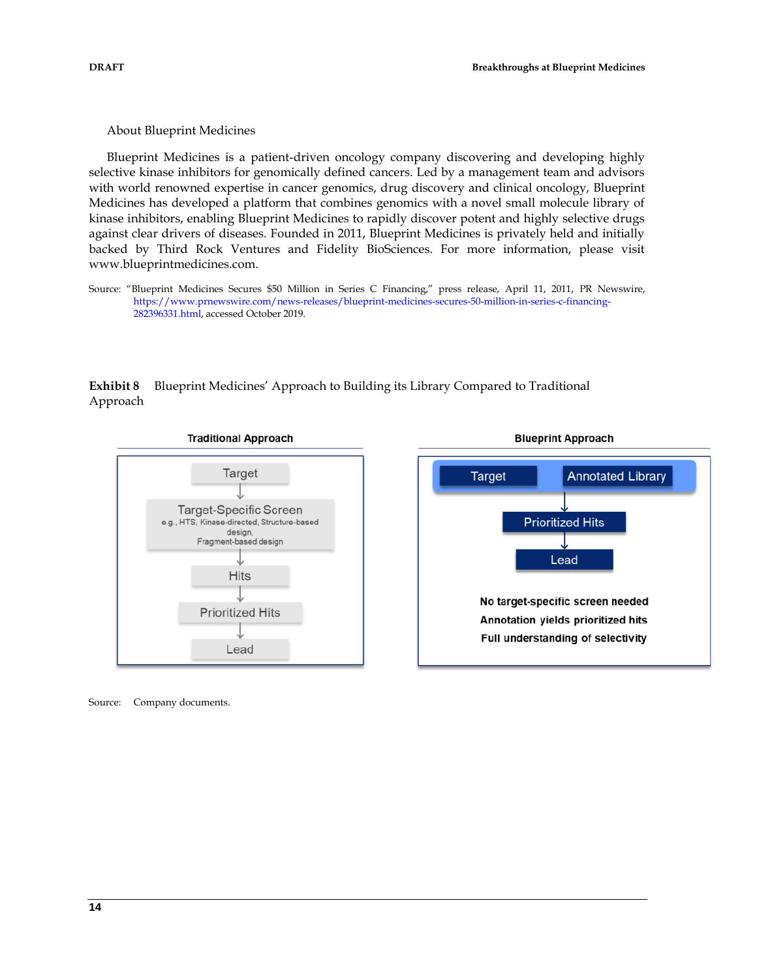About Blueprint Medicines

Blueprint Medicines is a patient-driven oncology company discovering and developing highly selective kinase inhibitors for genomically defined cancers. Led by a management team and advisors with world renowned expertise in cancer genomics, drug discovery and clinical oncology, Blueprint Medicines has developed a platform that combines genomics with a novel small molecule library of kinase inhibitors, enabling Blueprint Medicines to rapidly discover potent and highly selective drugs against clear drivers of diseases. Founded in 2011, Blueprint Medicines is privately held and initially backed by Third Rock Ventures and Fidelity BioSciences. For more information, please visit www.blueprintmedicines.com.

Source: "Blueprint Medicines Secures \$50 Million in Series C Financing," press release, April 11, 2011, PR Newswire, [https://www.prnewswire.com/news-releases/blueprint-medicines-secures-50-million-in-series-c-financing-](https://www.prnewswire.com/news-releases/blueprint-medicines-secures-50-million-in-series-c-financing-282396331.html)[282396331.html,](https://www.prnewswire.com/news-releases/blueprint-medicines-secures-50-million-in-series-c-financing-282396331.html) accessed October 2019.

**Exhibit 8** Blueprint Medicines' Approach to Building its Library Compared to Traditional Approach





Source: Company documents.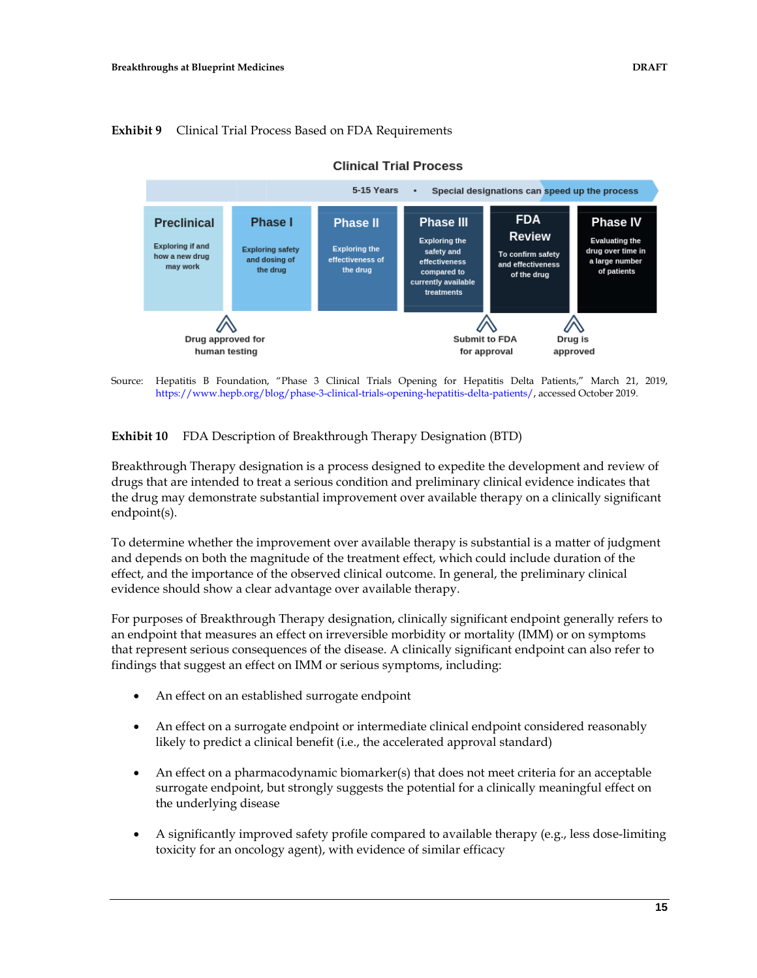

#### **Exhibit 9** Clinical Trial Process Based on FDA Requirements

Source: Hepatitis B Foundation, "Phase 3 Clinical Trials Opening for Hepatitis Delta Patients," March 21, 2019, [https://www.hepb.org/blog/phase-3-clinical-trials-opening-hepatitis-delta-patients/,](https://www.hepb.org/blog/phase-3-clinical-trials-opening-hepatitis-delta-patients/) accessed October 2019.

**Exhibit 10** FDA Description of Breakthrough Therapy Designation (BTD)

Breakthrough Therapy designation is a process designed to expedite the development and review of drugs that are intended to treat a serious condition and preliminary clinical evidence indicates that the drug may demonstrate substantial improvement over available therapy on a clinically significant endpoint(s).

To determine whether the improvement over available therapy is substantial is a matter of judgment and depends on both the magnitude of the treatment effect, which could include duration of the effect, and the importance of the observed clinical outcome. In general, the preliminary clinical evidence should show a clear advantage over available therapy.

For purposes of Breakthrough Therapy designation, clinically significant endpoint generally refers to an endpoint that measures an effect on irreversible morbidity or mortality (IMM) or on symptoms that represent serious consequences of the disease. A clinically significant endpoint can also refer to findings that suggest an effect on IMM or serious symptoms, including:

- An effect on an established surrogate endpoint
- An effect on a surrogate endpoint or intermediate clinical endpoint considered reasonably likely to predict a clinical benefit (i.e., the accelerated approval standard)
- An effect on a pharmacodynamic biomarker(s) that does not meet criteria for an acceptable surrogate endpoint, but strongly suggests the potential for a clinically meaningful effect on the underlying disease
- A significantly improved safety profile compared to available therapy (e.g., less dose-limiting toxicity for an oncology agent), with evidence of similar efficacy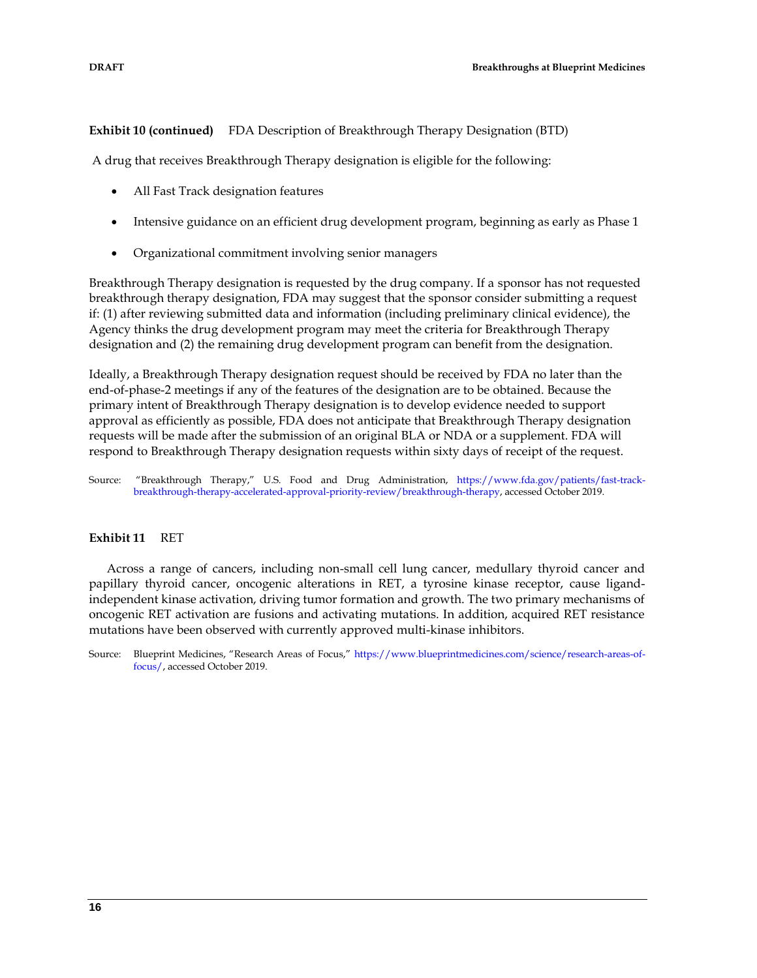**Exhibit 10 (continued)** FDA Description of Breakthrough Therapy Designation (BTD)

A drug that receives Breakthrough Therapy designation is eligible for the following:

- All Fast Track designation features
- Intensive guidance on an efficient drug development program, beginning as early as Phase 1
- Organizational commitment involving senior managers

Breakthrough Therapy designation is requested by the drug company. If a sponsor has not requested breakthrough therapy designation, FDA may suggest that the sponsor consider submitting a request if: (1) after reviewing submitted data and information (including preliminary clinical evidence), the Agency thinks the drug development program may meet the criteria for Breakthrough Therapy designation and (2) the remaining drug development program can benefit from the designation.

Ideally, a Breakthrough Therapy designation request should be received by FDA no later than the end-of-phase-2 meetings if any of the features of the designation are to be obtained. Because the primary intent of Breakthrough Therapy designation is to develop evidence needed to support approval as efficiently as possible, FDA does not anticipate that Breakthrough Therapy designation requests will be made after the submission of an original BLA or NDA or a supplement. FDA will respond to Breakthrough Therapy designation requests within sixty days of receipt of the request.

Source: "Breakthrough Therapy," U.S. Food and Drug Administration, [https://www.fda.gov/patients/fast-track](https://www.fda.gov/patients/fast-track-breakthrough-therapy-accelerated-approval-priority-review/breakthrough-therapy)[breakthrough-therapy-accelerated-approval-priority-review/breakthrough-therapy,](https://www.fda.gov/patients/fast-track-breakthrough-therapy-accelerated-approval-priority-review/breakthrough-therapy) accessed October 2019.

#### **Exhibit 11** RET

Across a range of cancers, including non-small cell lung cancer, medullary thyroid cancer and papillary thyroid cancer, oncogenic alterations in RET, a tyrosine kinase receptor, cause ligandindependent kinase activation, driving tumor formation and growth. The two primary mechanisms of oncogenic RET activation are fusions and activating mutations. In addition, acquired RET resistance mutations have been observed with currently approved multi-kinase inhibitors.

Source: Blueprint Medicines, "Research Areas of Focus," [https://www.blueprintmedicines.com/science/research-areas-of](https://www.blueprintmedicines.com/science/research-areas-of-focus/)[focus/,](https://www.blueprintmedicines.com/science/research-areas-of-focus/) accessed October 2019.